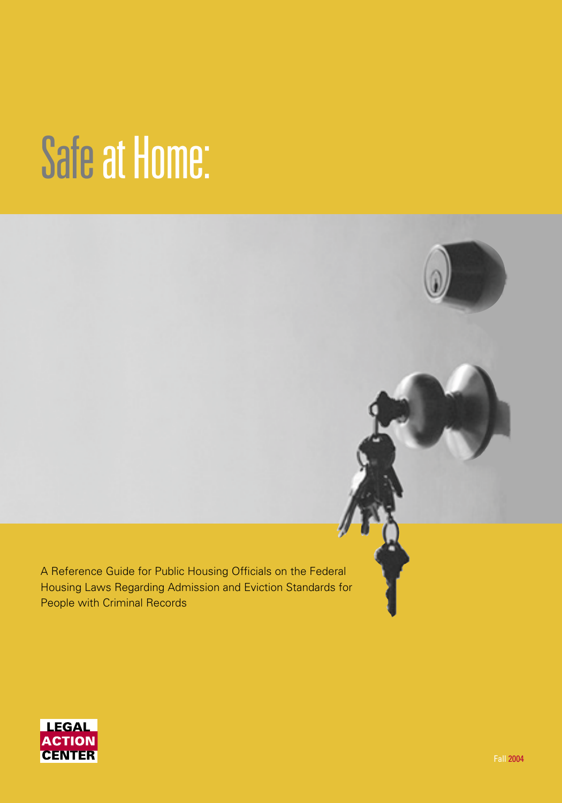# Safeat Home:

A Reference Guide for Public Housing Officials on the Federal Housing Laws Regarding Admission and Eviction Standards for People with Criminal Records

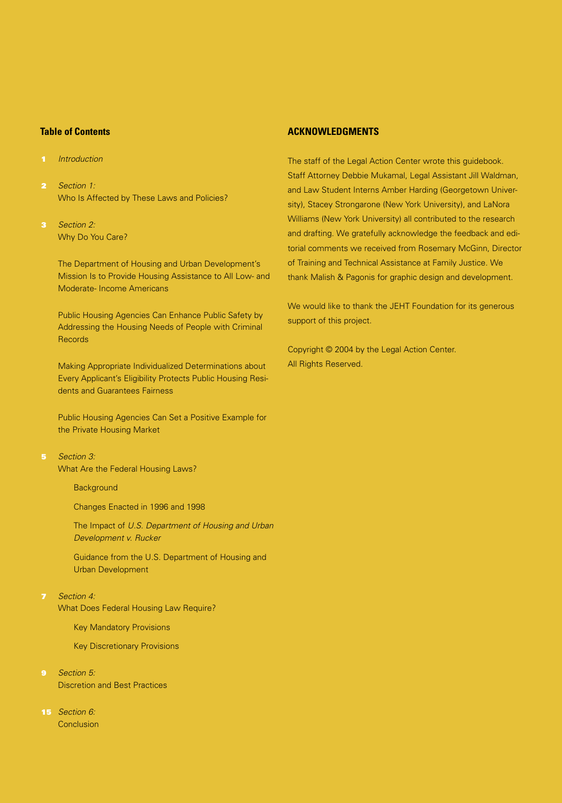## **Table of Contents**

- 1 Introduction
- 2 Section 1: Who Is Affected by These Laws and Policies?
- 3 Section 2: Why Do You Care?

 The Department of Housing and Urban Development's Mission Is to Provide Housing Assistance to All Low- and Moderate- Income Americans

 Public Housing Agencies Can Enhance Public Safety by Addressing the Housing Needs of People with Criminal **Records** 

 Making Appropriate Individualized Determinations about Every Applicant's Eligibility Protects Public Housing Residents and Guarantees Fairness

 Public Housing Agencies Can Set a Positive Example for the Private Housing Market

- 5 Section 3: What Are the Federal Housing Laws?
	- **Background**
	- Changes Enacted in 1996 and 1998

 The Impact of U.S. Department of Housing and Urban Development v. Rucker

 Guidance from the U.S. Department of Housing and Urban Development

7 Section 4:

What Does Federal Housing Law Require?

Key Mandatory Provisions

Key Discretionary Provisions

- **9** Section 5: Discretion and Best Practices
- 15 Section 6: **Conclusion**

## **ACKNOWLEDGMENTS**

The staff of the Legal Action Center wrote this guidebook. Staff Attorney Debbie Mukamal, Legal Assistant Jill Waldman, and Law Student Interns Amber Harding (Georgetown University), Stacey Strongarone (New York University), and LaNora Williams (New York University) all contributed to the research and drafting. We gratefully acknowledge the feedback and editorial comments we received from Rosemary McGinn, Director of Training and Technical Assistance at Family Justice. We thank Malish & Pagonis for graphic design and development.

We would like to thank the JEHT Foundation for its generous support of this project.

Copyright © 2004 by the Legal Action Center. All Rights Reserved.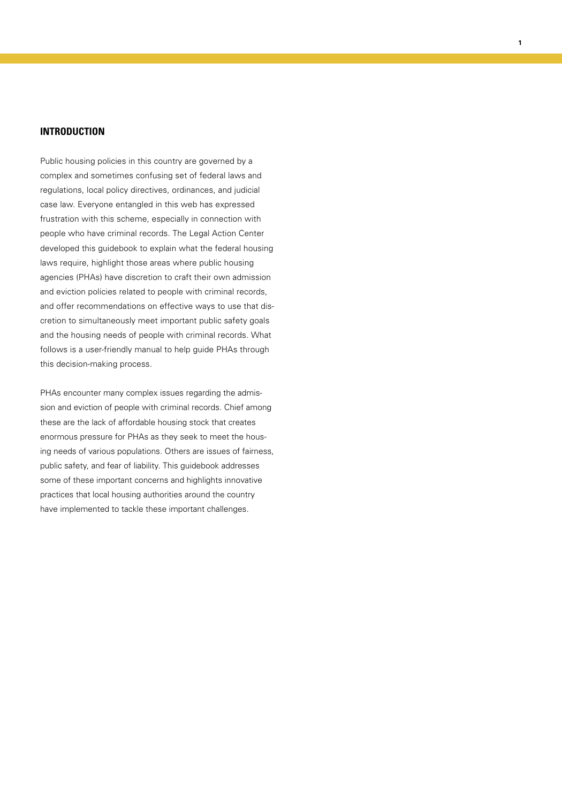# **INTRODUCTION**

Public housing policies in this country are governed by a complex and sometimes confusing set of federal laws and regulations, local policy directives, ordinances, and judicial case law. Everyone entangled in this web has expressed frustration with this scheme, especially in connection with people who have criminal records. The Legal Action Center developed this guidebook to explain what the federal housing laws require, highlight those areas where public housing agencies (PHAs) have discretion to craft their own admission and eviction policies related to people with criminal records, and offer recommendations on effective ways to use that discretion to simultaneously meet important public safety goals and the housing needs of people with criminal records. What follows is a user-friendly manual to help guide PHAs through this decision-making process.

**1**

PHAs encounter many complex issues regarding the admission and eviction of people with criminal records. Chief among these are the lack of affordable housing stock that creates enormous pressure for PHAs as they seek to meet the housing needs of various populations. Others are issues of fairness, public safety, and fear of liability. This guidebook addresses some of these important concerns and highlights innovative practices that local housing authorities around the country have implemented to tackle these important challenges.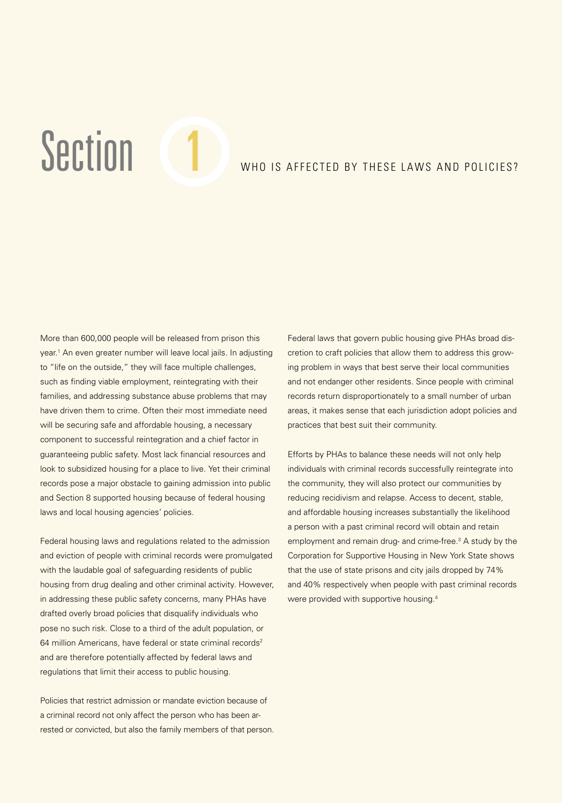# Section 1 W WHO IS AFFECTED BY THESE LAWS AND POLICIES?

More than 600,000 people will be released from prison this year.<sup>1</sup> An even greater number will leave local jails. In adjusting to "life on the outside," they will face multiple challenges, such as finding viable employment, reintegrating with their families, and addressing substance abuse problems that may have driven them to crime. Often their most immediate need will be securing safe and affordable housing, a necessary component to successful reintegration and a chief factor in guaranteeing public safety. Most lack financial resources and look to subsidized housing for a place to live. Yet their criminal records pose a major obstacle to gaining admission into public and Section 8 supported housing because of federal housing laws and local housing agencies' policies.

Federal housing laws and regulations related to the admission and eviction of people with criminal records were promulgated with the laudable goal of safeguarding residents of public housing from drug dealing and other criminal activity. However, in addressing these public safety concerns, many PHAs have drafted overly broad policies that disqualify individuals who pose no such risk. Close to a third of the adult population, or 64 million Americans, have federal or state criminal records<sup>2</sup> and are therefore potentially affected by federal laws and regulations that limit their access to public housing.

Policies that restrict admission or mandate eviction because of a criminal record not only affect the person who has been arrested or convicted, but also the family members of that person. Federal laws that govern public housing give PHAs broad discretion to craft policies that allow them to address this growing problem in ways that best serve their local communities and not endanger other residents. Since people with criminal records return disproportionately to a small number of urban areas, it makes sense that each jurisdiction adopt policies and practices that best suit their community.

Efforts by PHAs to balance these needs will not only help individuals with criminal records successfully reintegrate into the community, they will also protect our communities by reducing recidivism and relapse. Access to decent, stable, and affordable housing increases substantially the likelihood a person with a past criminal record will obtain and retain employment and remain drug- and crime-free.3 A study by the Corporation for Supportive Housing in New York State shows that the use of state prisons and city jails dropped by 74% and 40% respectively when people with past criminal records were provided with supportive housing.4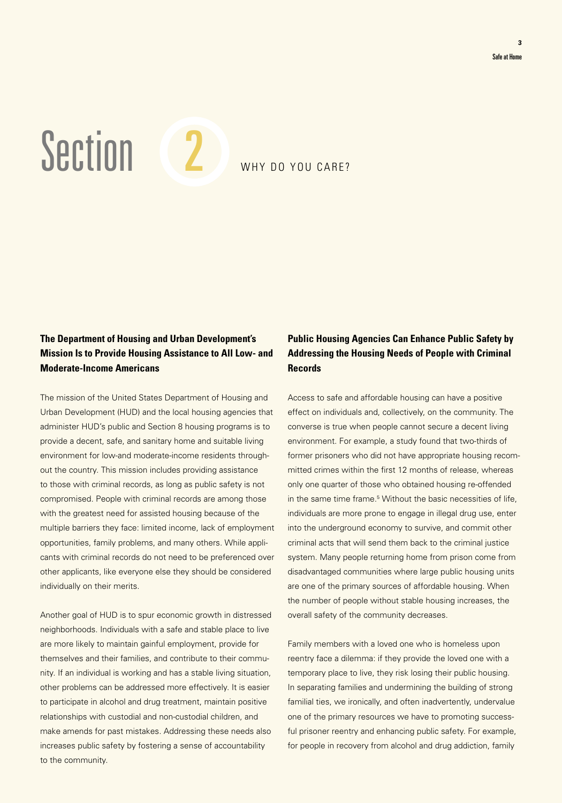Section 2 WHY DO YOU CARE?

# **The Department of Housing and Urban Development's Mission Is to Provide Housing Assistance to All Low- and Moderate-Income Americans**

The mission of the United States Department of Housing and Urban Development (HUD) and the local housing agencies that administer HUD's public and Section 8 housing programs is to provide a decent, safe, and sanitary home and suitable living environment for low-and moderate-income residents throughout the country. This mission includes providing assistance to those with criminal records, as long as public safety is not compromised. People with criminal records are among those with the greatest need for assisted housing because of the multiple barriers they face: limited income, lack of employment opportunities, family problems, and many others. While applicants with criminal records do not need to be preferenced over other applicants, like everyone else they should be considered individually on their merits.

Another goal of HUD is to spur economic growth in distressed neighborhoods. Individuals with a safe and stable place to live are more likely to maintain gainful employment, provide for themselves and their families, and contribute to their community. If an individual is working and has a stable living situation, other problems can be addressed more effectively. It is easier to participate in alcohol and drug treatment, maintain positive relationships with custodial and non-custodial children, and make amends for past mistakes. Addressing these needs also increases public safety by fostering a sense of accountability to the community.

# **Public Housing Agencies Can Enhance Public Safety by Addressing the Housing Needs of People with Criminal Records**

Access to safe and affordable housing can have a positive effect on individuals and, collectively, on the community. The converse is true when people cannot secure a decent living environment. For example, a study found that two-thirds of former prisoners who did not have appropriate housing recommitted crimes within the first 12 months of release, whereas only one quarter of those who obtained housing re-offended in the same time frame.5 Without the basic necessities of life, individuals are more prone to engage in illegal drug use, enter into the underground economy to survive, and commit other criminal acts that will send them back to the criminal justice system. Many people returning home from prison come from disadvantaged communities where large public housing units are one of the primary sources of affordable housing. When the number of people without stable housing increases, the overall safety of the community decreases.

Family members with a loved one who is homeless upon reentry face a dilemma: if they provide the loved one with a temporary place to live, they risk losing their public housing. In separating families and undermining the building of strong familial ties, we ironically, and often inadvertently, undervalue one of the primary resources we have to promoting successful prisoner reentry and enhancing public safety. For example, for people in recovery from alcohol and drug addiction, family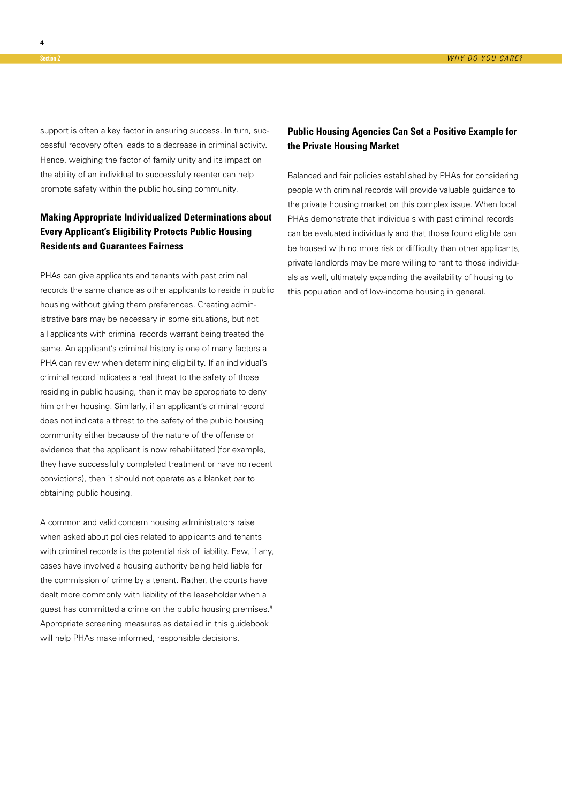support is often a key factor in ensuring success. In turn, successful recovery often leads to a decrease in criminal activity. Hence, weighing the factor of family unity and its impact on the ability of an individual to successfully reenter can help promote safety within the public housing community.

# **Making Appropriate Individualized Determinations about Every Applicant's Eligibility Protects Public Housing Residents and Guarantees Fairness**

PHAs can give applicants and tenants with past criminal records the same chance as other applicants to reside in public housing without giving them preferences. Creating administrative bars may be necessary in some situations, but not all applicants with criminal records warrant being treated the same. An applicant's criminal history is one of many factors a PHA can review when determining eligibility. If an individual's criminal record indicates a real threat to the safety of those residing in public housing, then it may be appropriate to deny him or her housing. Similarly, if an applicant's criminal record does not indicate a threat to the safety of the public housing community either because of the nature of the offense or evidence that the applicant is now rehabilitated (for example, they have successfully completed treatment or have no recent convictions), then it should not operate as a blanket bar to obtaining public housing.

A common and valid concern housing administrators raise when asked about policies related to applicants and tenants with criminal records is the potential risk of liability. Few, if any, cases have involved a housing authority being held liable for the commission of crime by a tenant. Rather, the courts have dealt more commonly with liability of the leaseholder when a guest has committed a crime on the public housing premises.<sup>6</sup> Appropriate screening measures as detailed in this guidebook will help PHAs make informed, responsible decisions.

# **Public Housing Agencies Can Set a Positive Example for the Private Housing Market**

Balanced and fair policies established by PHAs for considering people with criminal records will provide valuable guidance to the private housing market on this complex issue. When local PHAs demonstrate that individuals with past criminal records can be evaluated individually and that those found eligible can be housed with no more risk or difficulty than other applicants, private landlords may be more willing to rent to those individuals as well, ultimately expanding the availability of housing to this population and of low-income housing in general.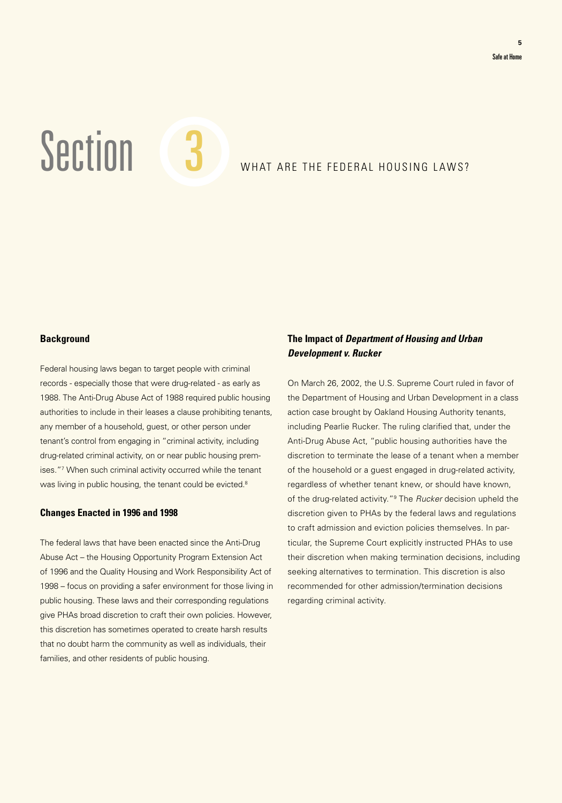Section 3 WHAT ARE THE FEDERAL HOUSING LAWS?

# **Background**

Federal housing laws began to target people with criminal records - especially those that were drug-related - as early as 1988. The Anti-Drug Abuse Act of 1988 required public housing authorities to include in their leases a clause prohibiting tenants, any member of a household, guest, or other person under tenant's control from engaging in "criminal activity, including drug-related criminal activity, on or near public housing premises."7 When such criminal activity occurred while the tenant was living in public housing, the tenant could be evicted.<sup>8</sup>

### **Changes Enacted in 1996 and 1998**

The federal laws that have been enacted since the Anti-Drug Abuse Act – the Housing Opportunity Program Extension Act of 1996 and the Quality Housing and Work Responsibility Act of 1998 – focus on providing a safer environment for those living in public housing. These laws and their corresponding regulations give PHAs broad discretion to craft their own policies. However, this discretion has sometimes operated to create harsh results that no doubt harm the community as well as individuals, their families, and other residents of public housing.

# **The Impact of Department of Housing and Urban Development v. Rucker**

On March 26, 2002, the U.S. Supreme Court ruled in favor of the Department of Housing and Urban Development in a class action case brought by Oakland Housing Authority tenants, including Pearlie Rucker. The ruling clarified that, under the Anti-Drug Abuse Act, "public housing authorities have the discretion to terminate the lease of a tenant when a member of the household or a guest engaged in drug-related activity, regardless of whether tenant knew, or should have known, of the drug-related activity."<sup>9</sup> The *Rucker* decision upheld the discretion given to PHAs by the federal laws and regulations to craft admission and eviction policies themselves. In particular, the Supreme Court explicitly instructed PHAs to use their discretion when making termination decisions, including seeking alternatives to termination. This discretion is also recommended for other admission/termination decisions regarding criminal activity.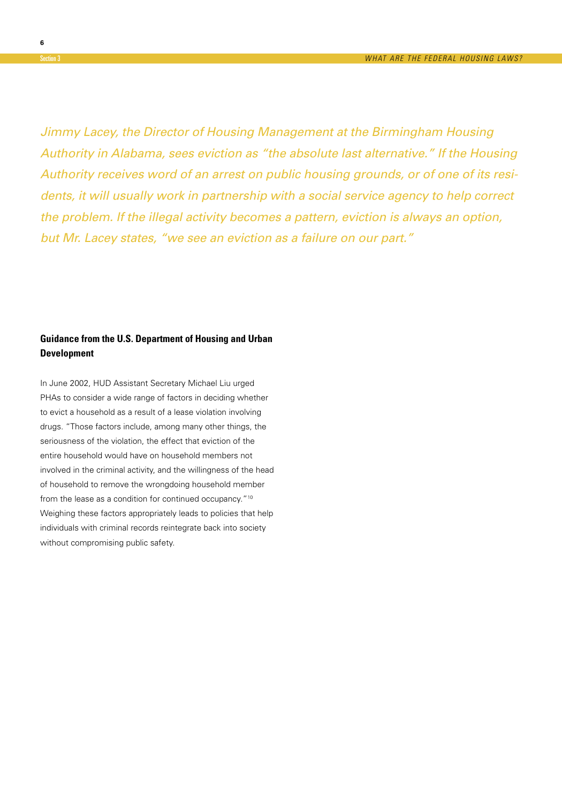Jimmy Lacey, the Director of Housing Management at the Birmingham Housing Authority in Alabama, sees eviction as "the absolute last alternative." If the Housing Authority receives word of an arrest on public housing grounds, or of one of its residents, it will usually work in partnership with a social service agency to help correct the problem. If the illegal activity becomes a pattern, eviction is always an option, but Mr. Lacey states, "we see an eviction as a failure on our part."

# **Guidance from the U.S. Department of Housing and Urban Development**

In June 2002, HUD Assistant Secretary Michael Liu urged PHAs to consider a wide range of factors in deciding whether to evict a household as a result of a lease violation involving drugs. "Those factors include, among many other things, the seriousness of the violation, the effect that eviction of the entire household would have on household members not involved in the criminal activity, and the willingness of the head of household to remove the wrongdoing household member from the lease as a condition for continued occupancy."<sup>10</sup> Weighing these factors appropriately leads to policies that help individuals with criminal records reintegrate back into society without compromising public safety.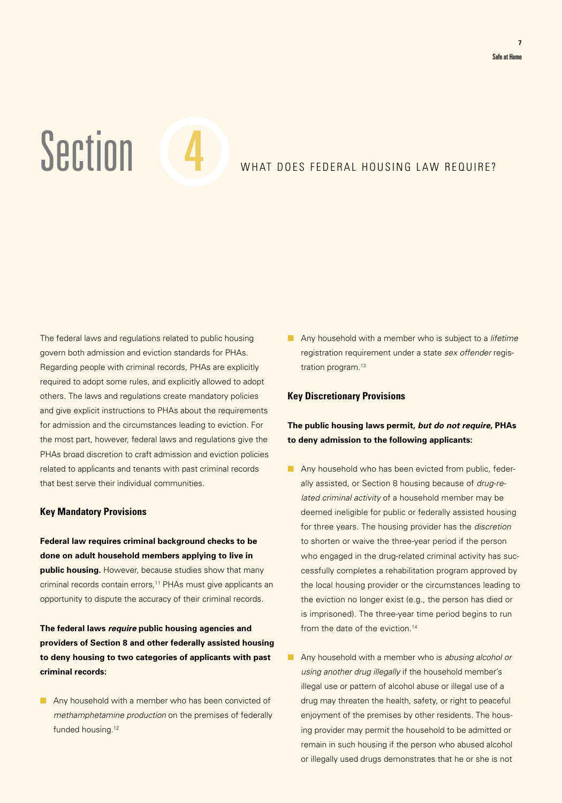# Section 4 WHAT DOES FEDERAL HOUSING LAW REQUIRE?

The federal laws and regulations related to public housing govern both admission and eviction standards for PHAs. Regarding people with criminal records, PHAs are explicitly required to adopt some rules, and explicitly allowed to adopt others. The laws and regulations create mandatory policies and give explicit instructions to PHAs about the requirements for admission and the circumstances leading to eviction. For the most part, however, federal laws and regulations give the PHAs broad discretion to craft admission and eviction policies related to applicants and tenants with past criminal records that best serve their individual communities.

### **Key Mandatory Provisions**

**Federal law requires criminal background checks to be done on adult household members applying to live in public housing.** However, because studies show that many criminal records contain errors,<sup>11</sup> PHAs must give applicants an opportunity to dispute the accuracy of their criminal records.

**The federal laws require public housing agencies and providers of Section 8 and other federally assisted housing to deny housing to two categories of applicants with past criminal records:**

■ Any household with a member who has been convicted of methamphetamine production on the premises of federally funded housing.<sup>12</sup>

■ Any household with a member who is subject to a *lifetime* registration requirement under a state sex offender registration program.<sup>13</sup>

### **Key Discretionary Provisions**

# **The public housing laws permit, but do not require, PHAs to deny admission to the following applicants:**

- Any household who has been evicted from public, federally assisted, or Section 8 housing because of drug-related criminal activity of a household member may be deemed ineligible for public or federally assisted housing for three years. The housing provider has the discretion to shorten or waive the three-year period if the person who engaged in the drug-related criminal activity has successfully completes a rehabilitation program approved by the local housing provider or the circumstances leading to the eviction no longer exist (e.g., the person has died or is imprisoned). The three-year time period begins to run from the date of the eviction.<sup>14</sup>
- Any household with a member who is abusing alcohol or using another drug illegally if the household member's illegal use or pattern of alcohol abuse or illegal use of a drug may threaten the health, safety, or right to peaceful enjoyment of the premises by other residents. The housing provider may permit the household to be admitted or remain in such housing if the person who abused alcohol or illegally used drugs demonstrates that he or she is not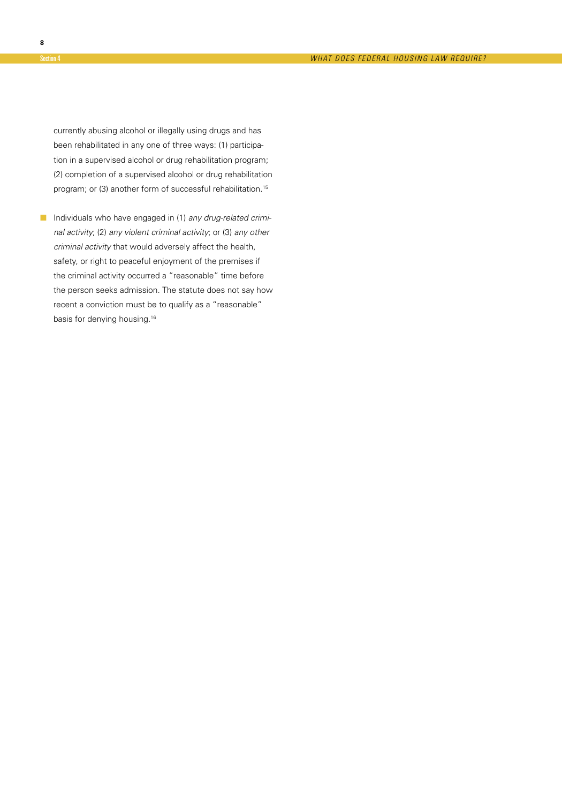currently abusing alcohol or illegally using drugs and has been rehabilitated in any one of three ways: (1) participation in a supervised alcohol or drug rehabilitation program; (2) completion of a supervised alcohol or drug rehabilitation program; or (3) another form of successful rehabilitation.<sup>15</sup>

■ Individuals who have engaged in (1) any drug-related criminal activity; (2) any violent criminal activity; or (3) any other criminal activity that would adversely affect the health, safety, or right to peaceful enjoyment of the premises if the criminal activity occurred a "reasonable" time before the person seeks admission. The statute does not say how recent a conviction must be to qualify as a "reasonable" basis for denying housing.<sup>16</sup>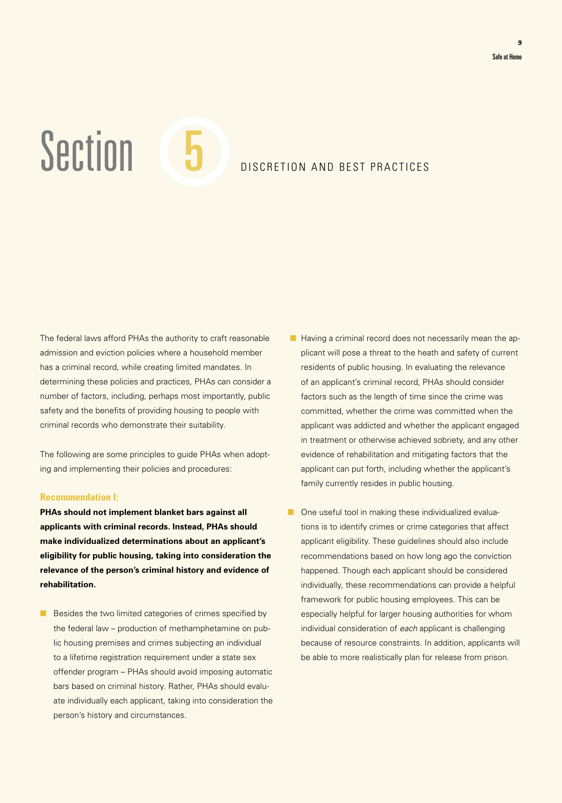# Section 5 D DISCRETION AND BEST PRACTICES

The federal laws afford PHAs the authority to craft reasonable admission and eviction policies where a household member has a criminal record, while creating limited mandates. In determining these policies and practices, PHAs can consider a number of factors, including, perhaps most importantly, public safety and the benefits of providing housing to people with criminal records who demonstrate their suitability.

The following are some principles to guide PHAs when adopting and implementing their policies and procedures:

#### **Recommendation I:**

**PHAs should not implement blanket bars against all applicants with criminal records. Instead, PHAs should make individualized determinations about an applicant's eligibility for public housing, taking into consideration the relevance of the person's criminal history and evidence of rehabilitation.**

■ Besides the two limited categories of crimes specified by the federal law – production of methamphetamine on public housing premises and crimes subjecting an individual to a lifetime registration requirement under a state sex offender program – PHAs should avoid imposing automatic bars based on criminal history. Rather, PHAs should evaluate individually each applicant, taking into consideration the person's history and circumstances.

- Having a criminal record does not necessarily mean the applicant will pose a threat to the heath and safety of current residents of public housing. In evaluating the relevance of an applicant's criminal record, PHAs should consider factors such as the length of time since the crime was committed, whether the crime was committed when the applicant was addicted and whether the applicant engaged in treatment or otherwise achieved sobriety, and any other evidence of rehabilitation and mitigating factors that the applicant can put forth, including whether the applicant's family currently resides in public housing.
- One useful tool in making these individualized evaluations is to identify crimes or crime categories that affect applicant eligibility. These guidelines should also include recommendations based on how long ago the conviction happened. Though each applicant should be considered individually, these recommendations can provide a helpful framework for public housing employees. This can be especially helpful for larger housing authorities for whom individual consideration of each applicant is challenging because of resource constraints. In addition, applicants will be able to more realistically plan for release from prison.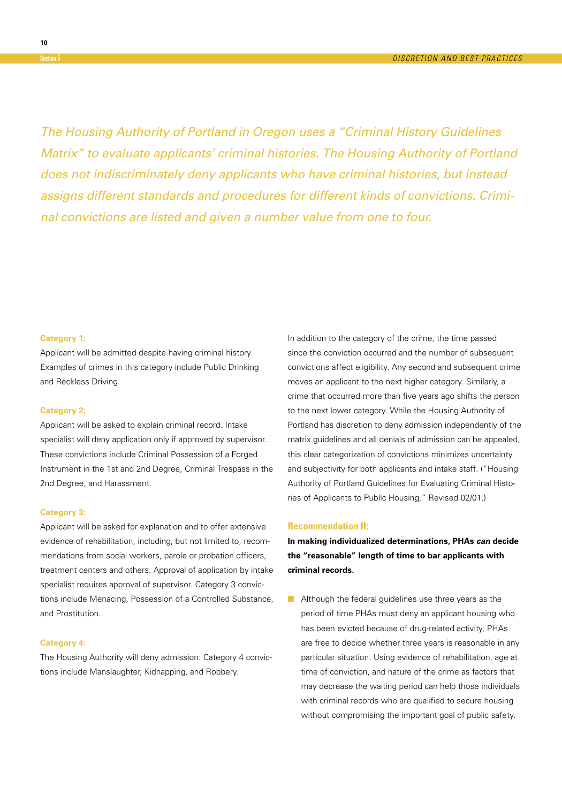The Housing Authority of Portland in Oregon uses a "Criminal History Guidelines Matrix" to evaluate applicants' criminal histories. The Housing Authority of Portland does not indiscriminately deny applicants who have criminal histories, but instead assigns different standards and procedures for different kinds of convictions. Criminal convictions are listed and given a number value from one to four.

#### **Category 1:**

Applicant will be admitted despite having criminal history. Examples of crimes in this category include Public Drinking and Reckless Driving.

#### **Category 2:**

Applicant will be asked to explain criminal record. Intake specialist will deny application only if approved by supervisor. These convictions include Criminal Possession of a Forged Instrument in the 1st and 2nd Degree, Criminal Trespass in the 2nd Degree, and Harassment.

#### **Category 3:**

Applicant will be asked for explanation and to offer extensive evidence of rehabilitation, including, but not limited to, recommendations from social workers, parole or probation officers, treatment centers and others. Approval of application by intake specialist requires approval of supervisor. Category 3 convictions include Menacing, Possession of a Controlled Substance, and Prostitution.

#### **Category 4:**

The Housing Authority will deny admission. Category 4 convictions include Manslaughter, Kidnapping, and Robbery.

In addition to the category of the crime, the time passed since the conviction occurred and the number of subsequent convictions affect eligibility. Any second and subsequent crime moves an applicant to the next higher category. Similarly, a crime that occurred more than five years ago shifts the person to the next lower category. While the Housing Authority of Portland has discretion to deny admission independently of the matrix guidelines and all denials of admission can be appealed, this clear categorization of convictions minimizes uncertainty and subjectivity for both applicants and intake staff. ("Housing Authority of Portland Guidelines for Evaluating Criminal Histories of Applicants to Public Housing," Revised 02/01.)

#### **Recommendation II:**

**In making individualized determinations, PHAs can decide the "reasonable" length of time to bar applicants with criminal records.**

■ Although the federal guidelines use three years as the period of time PHAs must deny an applicant housing who has been evicted because of drug-related activity, PHAs are free to decide whether three years is reasonable in any particular situation. Using evidence of rehabilitation, age at time of conviction, and nature of the crime as factors that may decrease the waiting period can help those individuals with criminal records who are qualified to secure housing without compromising the important goal of public safety.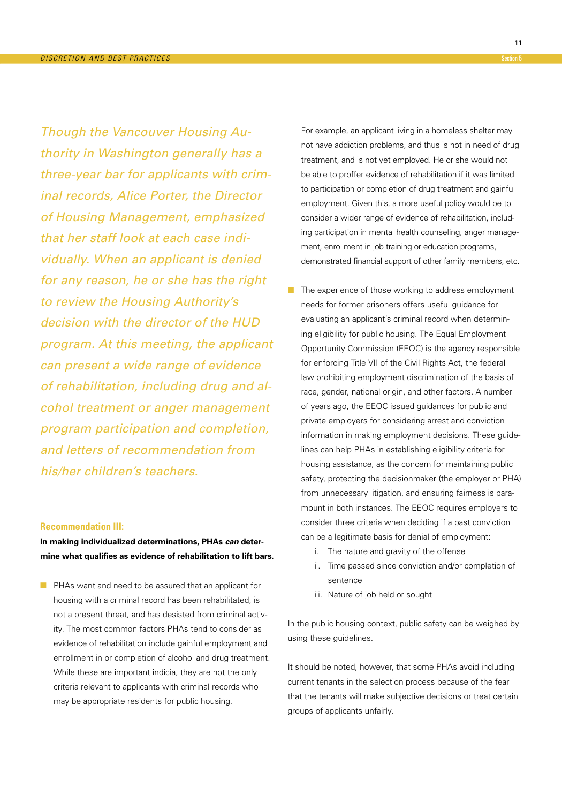Though the Vancouver Housing Authority in Washington generally has a three-year bar for applicants with criminal records, Alice Porter, the Director of Housing Management, emphasized that her staff look at each case individually. When an applicant is denied for any reason, he or she has the right to review the Housing Authority's decision with the director of the HUD program. At this meeting, the applicant can present a wide range of evidence of rehabilitation, including drug and alcohol treatment or anger management program participation and completion, and letters of recommendation from his/her children's teachers.

### **Recommendation III:**

**In making individualized determinations, PHAs can determine what qualifies as evidence of rehabilitation to lift bars.**

■ PHAs want and need to be assured that an applicant for housing with a criminal record has been rehabilitated, is not a present threat, and has desisted from criminal activity. The most common factors PHAs tend to consider as evidence of rehabilitation include gainful employment and enrollment in or completion of alcohol and drug treatment. While these are important indicia, they are not the only criteria relevant to applicants with criminal records who may be appropriate residents for public housing.

 For example, an applicant living in a homeless shelter may not have addiction problems, and thus is not in need of drug treatment, and is not yet employed. He or she would not be able to proffer evidence of rehabilitation if it was limited to participation or completion of drug treatment and gainful employment. Given this, a more useful policy would be to consider a wider range of evidence of rehabilitation, including participation in mental health counseling, anger management, enrollment in job training or education programs, demonstrated financial support of other family members, etc.

- The experience of those working to address employment needs for former prisoners offers useful guidance for evaluating an applicant's criminal record when determining eligibility for public housing. The Equal Employment Opportunity Commission (EEOC) is the agency responsible for enforcing Title VII of the Civil Rights Act, the federal law prohibiting employment discrimination of the basis of race, gender, national origin, and other factors. A number of years ago, the EEOC issued guidances for public and private employers for considering arrest and conviction information in making employment decisions. These guidelines can help PHAs in establishing eligibility criteria for housing assistance, as the concern for maintaining public safety, protecting the decisionmaker (the employer or PHA) from unnecessary litigation, and ensuring fairness is paramount in both instances. The EEOC requires employers to consider three criteria when deciding if a past conviction can be a legitimate basis for denial of employment:
	- i. The nature and gravity of the offense
	- ii. Time passed since conviction and/or completion of sentence
	- iii. Nature of job held or sought

In the public housing context, public safety can be weighed by using these guidelines.

It should be noted, however, that some PHAs avoid including current tenants in the selection process because of the fear that the tenants will make subjective decisions or treat certain groups of applicants unfairly.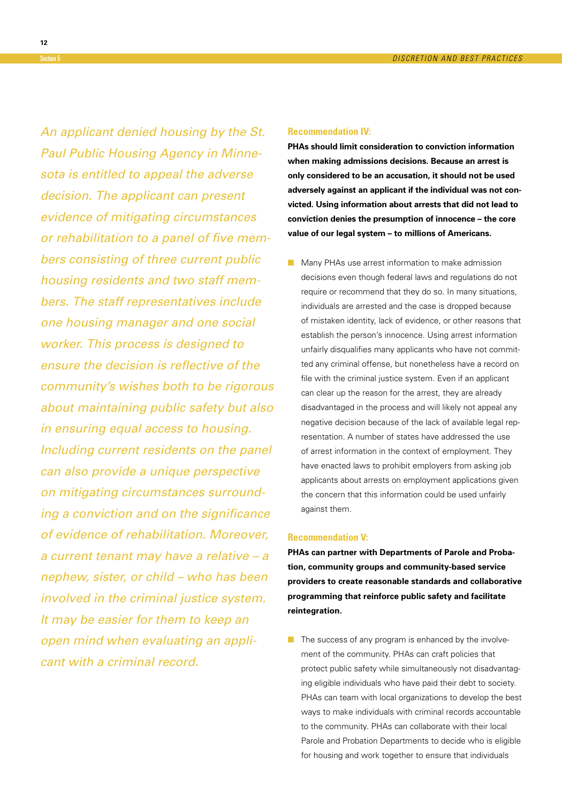An applicant denied housing by the St. Paul Public Housing Agency in Minnesota is entitled to appeal the adverse decision. The applicant can present evidence of mitigating circumstances or rehabilitation to a panel of five members consisting of three current public housing residents and two staff members. The staff representatives include one housing manager and one social worker. This process is designed to ensure the decision is reflective of the community's wishes both to be rigorous about maintaining public safety but also in ensuring equal access to housing. Including current residents on the panel can also provide a unique perspective on mitigating circumstances surrounding a conviction and on the significance of evidence of rehabilitation. Moreover, a current tenant may have a relative – a nephew, sister, or child – who has been involved in the criminal justice system. It may be easier for them to keep an open mind when evaluating an applicant with a criminal record.

#### **Recommendation IV:**

**PHAs should limit consideration to conviction information when making admissions decisions. Because an arrest is only considered to be an accusation, it should not be used adversely against an applicant if the individual was not convicted. Using information about arrests that did not lead to conviction denies the presumption of innocence – the core value of our legal system – to millions of Americans.**

■ Many PHAs use arrest information to make admission decisions even though federal laws and regulations do not require or recommend that they do so. In many situations, individuals are arrested and the case is dropped because of mistaken identity, lack of evidence, or other reasons that establish the person's innocence. Using arrest information unfairly disqualifies many applicants who have not committed any criminal offense, but nonetheless have a record on file with the criminal justice system. Even if an applicant can clear up the reason for the arrest, they are already disadvantaged in the process and will likely not appeal any negative decision because of the lack of available legal representation. A number of states have addressed the use of arrest information in the context of employment. They have enacted laws to prohibit employers from asking job applicants about arrests on employment applications given the concern that this information could be used unfairly against them.

#### **Recommendation V:**

**PHAs can partner with Departments of Parole and Probation, community groups and community-based service providers to create reasonable standards and collaborative programming that reinforce public safety and facilitate reintegration.**

■ The success of any program is enhanced by the involvement of the community. PHAs can craft policies that protect public safety while simultaneously not disadvantaging eligible individuals who have paid their debt to society. PHAs can team with local organizations to develop the best ways to make individuals with criminal records accountable to the community. PHAs can collaborate with their local Parole and Probation Departments to decide who is eligible for housing and work together to ensure that individuals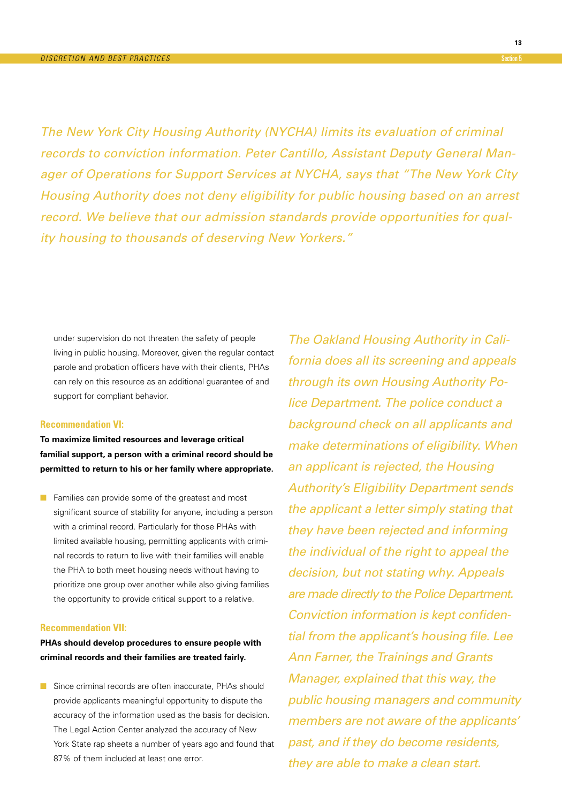The New York City Housing Authority (NYCHA) limits its evaluation of criminal records to conviction information. Peter Cantillo, Assistant Deputy General Manager of Operations for Support Services at NYCHA, says that "The New York City Housing Authority does not deny eligibility for public housing based on an arrest record. We believe that our admission standards provide opportunities for quality housing to thousands of deserving New Yorkers."

under supervision do not threaten the safety of people living in public housing. Moreover, given the regular contact parole and probation officers have with their clients, PHAs can rely on this resource as an additional guarantee of and support for compliant behavior.

#### **Recommendation VI:**

**To maximize limited resources and leverage critical familial support, a person with a criminal record should be permitted to return to his or her family where appropriate.**

■ Families can provide some of the greatest and most significant source of stability for anyone, including a person with a criminal record. Particularly for those PHAs with limited available housing, permitting applicants with criminal records to return to live with their families will enable the PHA to both meet housing needs without having to prioritize one group over another while also giving families the opportunity to provide critical support to a relative.

### **Recommendation VII:**

**PHAs should develop procedures to ensure people with criminal records and their families are treated fairly.**

■ Since criminal records are often inaccurate, PHAs should provide applicants meaningful opportunity to dispute the accuracy of the information used as the basis for decision. The Legal Action Center analyzed the accuracy of New York State rap sheets a number of years ago and found that 87% of them included at least one error.

The Oakland Housing Authority in California does all its screening and appeals through its own Housing Authority Police Department. The police conduct a background check on all applicants and make determinations of eligibility. When an applicant is rejected, the Housing Authority's Eligibility Department sends the applicant a letter simply stating that they have been rejected and informing the individual of the right to appeal the decision, but not stating why. Appeals are made directly to the Police Department. Conviction information is kept confidential from the applicant's housing file. Lee Ann Farner, the Trainings and Grants Manager, explained that this way, the public housing managers and community members are not aware of the applicants' past, and if they do become residents, they are able to make a clean start.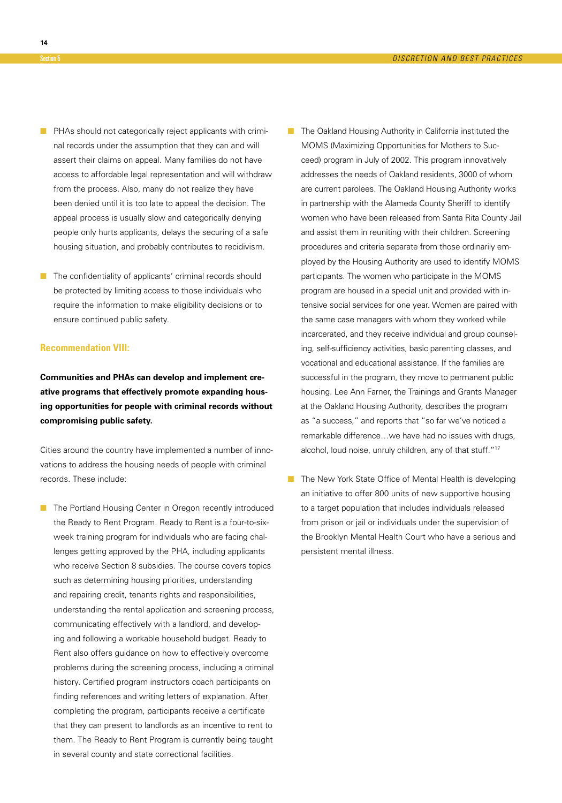- PHAs should not categorically reject applicants with criminal records under the assumption that they can and will assert their claims on appeal. Many families do not have access to affordable legal representation and will withdraw from the process. Also, many do not realize they have been denied until it is too late to appeal the decision. The appeal process is usually slow and categorically denying people only hurts applicants, delays the securing of a safe housing situation, and probably contributes to recidivism.
- The confidentiality of applicants' criminal records should be protected by limiting access to those individuals who require the information to make eligibility decisions or to ensure continued public safety.

### **Recommendation VIII:**

**Communities and PHAs can develop and implement creative programs that effectively promote expanding housing opportunities for people with criminal records without compromising public safety.**

Cities around the country have implemented a number of innovations to address the housing needs of people with criminal records. These include:

- The Portland Housing Center in Oregon recently introduced the Ready to Rent Program. Ready to Rent is a four-to-sixweek training program for individuals who are facing challenges getting approved by the PHA, including applicants who receive Section 8 subsidies. The course covers topics such as determining housing priorities, understanding and repairing credit, tenants rights and responsibilities, understanding the rental application and screening process, communicating effectively with a landlord, and developing and following a workable household budget. Ready to Rent also offers guidance on how to effectively overcome problems during the screening process, including a criminal history. Certified program instructors coach participants on finding references and writing letters of explanation. After completing the program, participants receive a certificate that they can present to landlords as an incentive to rent to them. The Ready to Rent Program is currently being taught in several county and state correctional facilities.
- The Oakland Housing Authority in California instituted the MOMS (Maximizing Opportunities for Mothers to Succeed) program in July of 2002. This program innovatively addresses the needs of Oakland residents, 3000 of whom are current parolees. The Oakland Housing Authority works in partnership with the Alameda County Sheriff to identify women who have been released from Santa Rita County Jail and assist them in reuniting with their children. Screening procedures and criteria separate from those ordinarily employed by the Housing Authority are used to identify MOMS participants. The women who participate in the MOMS program are housed in a special unit and provided with intensive social services for one year. Women are paired with the same case managers with whom they worked while incarcerated, and they receive individual and group counseling, self-sufficiency activities, basic parenting classes, and vocational and educational assistance. If the families are successful in the program, they move to permanent public housing. Lee Ann Farner, the Trainings and Grants Manager at the Oakland Housing Authority, describes the program as "a success," and reports that "so far we've noticed a remarkable difference…we have had no issues with drugs, alcohol, loud noise, unruly children, any of that stuff."<sup>17</sup>
- The New York State Office of Mental Health is developing an initiative to offer 800 units of new supportive housing to a target population that includes individuals released from prison or jail or individuals under the supervision of the Brooklyn Mental Health Court who have a serious and persistent mental illness.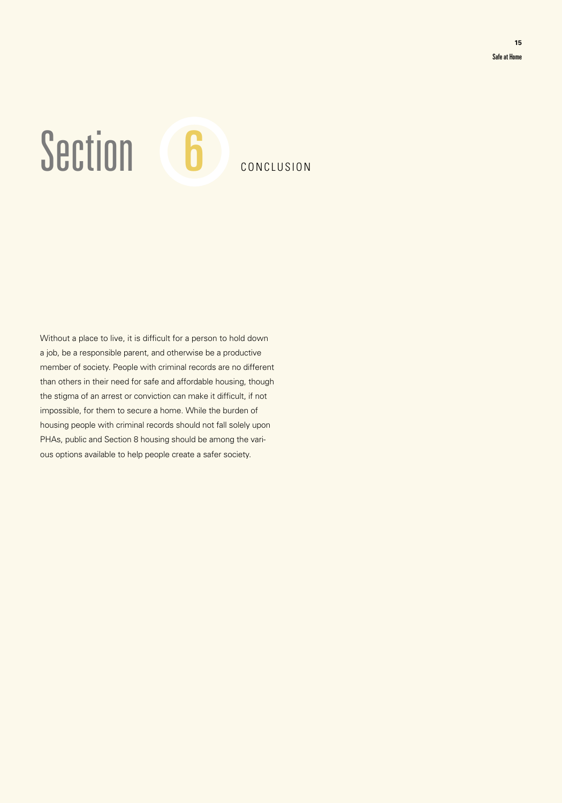# Section 6 CONCLUSION

Without a place to live, it is difficult for a person to hold down a job, be a responsible parent, and otherwise be a productive member of society. People with criminal records are no different than others in their need for safe and affordable housing, though the stigma of an arrest or conviction can make it difficult, if not impossible, for them to secure a home. While the burden of housing people with criminal records should not fall solely upon PHAs, public and Section 8 housing should be among the various options available to help people create a safer society.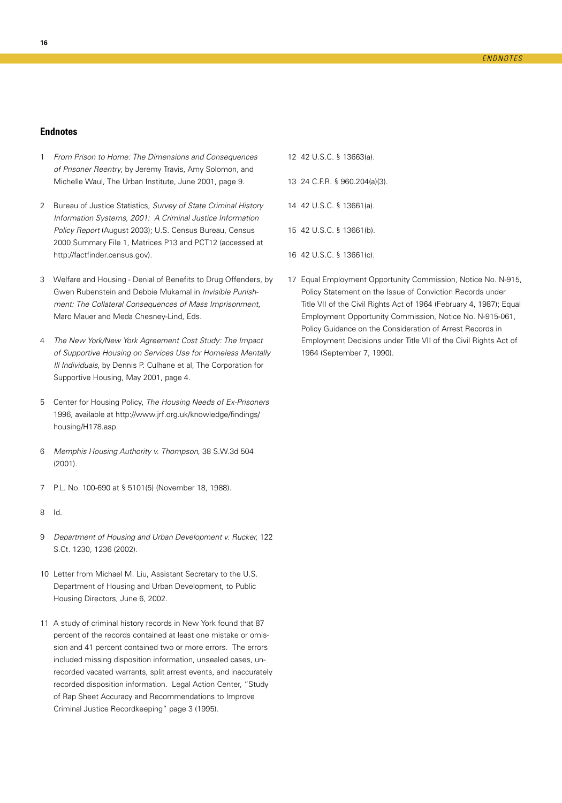# **Endnotes**

- 1 From Prison to Home: The Dimensions and Consequences of Prisoner Reentry, by Jeremy Travis, Amy Solomon, and Michelle Waul, The Urban Institute, June 2001, page 9.
- 2 Bureau of Justice Statistics, Survey of State Criminal History Information Systems, 2001: A Criminal Justice Information Policy Report (August 2003); U.S. Census Bureau, Census 2000 Summary File 1, Matrices P13 and PCT12 (accessed at http://factfinder.census.gov).
- 3 Welfare and Housing Denial of Benefits to Drug Offenders, by Gwen Rubenstein and Debbie Mukamal in Invisible Punishment: The Collateral Consequences of Mass Imprisonment, Marc Mauer and Meda Chesney-Lind, Eds.
- 4 The New York/New York Agreement Cost Study: The Impact of Supportive Housing on Services Use for Homeless Mentally Ill Individuals, by Dennis P. Culhane et al, The Corporation for Supportive Housing, May 2001, page 4.
- 5 Center for Housing Policy, The Housing Needs of Ex-Prisoners 1996, available at http://www.jrf.org.uk/knowledge/findings/ housing/H178.asp.
- 6 Memphis Housing Authority v. Thompson, 38 S.W.3d 504 (2001).
- 7 P.L. No. 100-690 at § 5101(5) (November 18, 1988).
- 8 Id.
- 9 Department of Housing and Urban Development v. Rucker, 122 S.Ct. 1230, 1236 (2002).
- 10 Letter from Michael M. Liu, Assistant Secretary to the U.S. Department of Housing and Urban Development, to Public Housing Directors, June 6, 2002.
- 11 A study of criminal history records in New York found that 87 percent of the records contained at least one mistake or omission and 41 percent contained two or more errors. The errors included missing disposition information, unsealed cases, unrecorded vacated warrants, split arrest events, and inaccurately recorded disposition information. Legal Action Center, "Study of Rap Sheet Accuracy and Recommendations to Improve Criminal Justice Recordkeeping" page 3 (1995).
- 12 42 U.S.C. § 13663(a).
- 13 24 C.F.R. § 960.204(a)(3).
- 14 42 U.S.C. § 13661(a).
- 15 42 U.S.C. § 13661(b).
- 16 42 U.S.C. § 13661(c).
- 17 Equal Employment Opportunity Commission, Notice No. N-915, Policy Statement on the Issue of Conviction Records under Title VII of the Civil Rights Act of 1964 (February 4, 1987); Equal Employment Opportunity Commission, Notice No. N-915-061, Policy Guidance on the Consideration of Arrest Records in Employment Decisions under Title VII of the Civil Rights Act of 1964 (September 7, 1990).